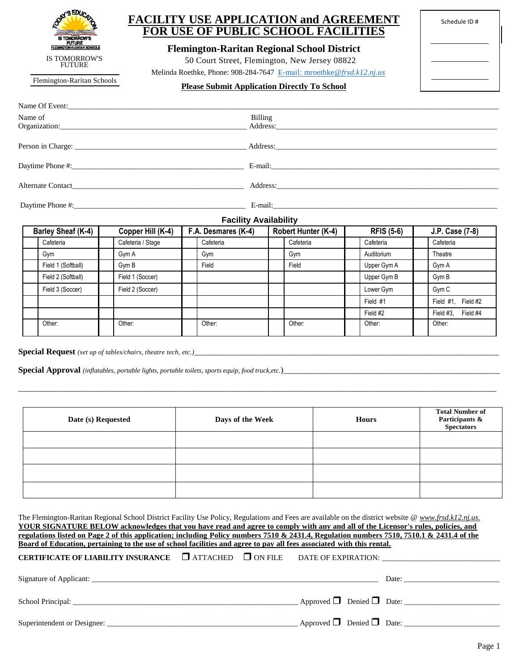| AY'S EDUCAT                                                         |
|---------------------------------------------------------------------|
| <b>IS TOMORROW'S</b><br><b>FUTURE</b><br>FLEMINGTON-RARITAN SCHOOLS |
| IS TOMORROW'S<br><b>FUTURE</b>                                      |

## **FACILITY USE APPLICATION and AGREEMENT FOR USE OF PUBLIC SCHOOL FACILITIES**

**Flemington-Raritan Regional School District**

50 Court Street, Flemington, New Jersey 08822

Melinda Roethke, Phone: 908-284-7647 [E-mail: mroethke](mailto:E-mail:%20mroethke@frsd.k12.nj.us)*@frsd.k12.nj.us*

Flemington-Raritan Schools

## **Please Submit Application Directly To School**

| Schedule ID# |  |  |  |  |  |
|--------------|--|--|--|--|--|
|              |  |  |  |  |  |
|              |  |  |  |  |  |
|              |  |  |  |  |  |
|              |  |  |  |  |  |
|              |  |  |  |  |  |
|              |  |  |  |  |  |

| Name of                                                                                                                                                                                                                        | <b>Billing</b><br>Address:                                                                                                                                                                                                     |
|--------------------------------------------------------------------------------------------------------------------------------------------------------------------------------------------------------------------------------|--------------------------------------------------------------------------------------------------------------------------------------------------------------------------------------------------------------------------------|
|                                                                                                                                                                                                                                |                                                                                                                                                                                                                                |
|                                                                                                                                                                                                                                |                                                                                                                                                                                                                                |
|                                                                                                                                                                                                                                | E-mail: No. 1998. The Commission of the Commission of the Commission of the Commission of the Commission of the Commission of the Commission of the Commission of the Commission of the Commission of the Commission of the Co |
| Alternate Contact New York and the Second Second Second Second Second Second Second Second Second Second Second Second Second Second Second Second Second Second Second Second Second Second Second Second Second Second Secon |                                                                                                                                                                                                                                |
|                                                                                                                                                                                                                                | E-mail:                                                                                                                                                                                                                        |

## **Facility Availability**

| Barley Sheaf (K-4) |                    | Copper Hill (K-4) | F.A. Desmares (K-4) |  | Robert Hunter (K-4) |  | <b>RFIS (5-6)</b> |  | J.P. Case (7-8)    |  |
|--------------------|--------------------|-------------------|---------------------|--|---------------------|--|-------------------|--|--------------------|--|
|                    | Cafeteria          | Cafeteria / Stage | Cafeteria           |  | Cafeteria           |  | Cafeteria         |  | Cafeteria          |  |
|                    | Gym                | Gym A             | Gym                 |  | Gym                 |  | Auditorium        |  | Theatre            |  |
|                    | Field 1 (Softball) | Gym B             | Field               |  | Field               |  | Upper Gym A       |  | Gym A              |  |
|                    | Field 2 (Softball) | Field 1 (Soccer)  |                     |  |                     |  | Upper Gym B       |  | Gym B              |  |
|                    | Field 3 (Soccer)   | Field 2 (Soccer)  |                     |  |                     |  | Lower Gym         |  | Gym <sub>C</sub>   |  |
|                    |                    |                   |                     |  |                     |  | Field #1          |  | Field #1, Field #2 |  |
|                    |                    |                   |                     |  |                     |  | Field #2          |  | Field #3, Field #4 |  |
|                    | Other:             | Other:            | Other:              |  | Other:              |  | Other:            |  | Other:             |  |

Special Request (set up of tables/chairs, theatre tech, etc.)\_\_\_\_\_\_\_\_\_\_\_\_\_\_\_\_\_\_\_\_

**Special Approval** *(inflatables, portable lights, portable toilets, sports equip, food truck,etc.*)\_\_\_\_\_\_\_\_\_\_\_\_\_\_\_\_\_\_\_\_\_\_\_\_\_\_\_\_\_\_\_\_\_\_\_\_\_\_\_\_\_\_\_\_\_\_\_\_\_\_\_

| Date (s) Requested | Days of the Week | <b>Hours</b> | <b>Total Number of</b><br>Participants &<br>Spectators |
|--------------------|------------------|--------------|--------------------------------------------------------|
|                    |                  |              |                                                        |
|                    |                  |              |                                                        |
|                    |                  |              |                                                        |
|                    |                  |              |                                                        |

\_\_\_\_\_\_\_\_\_\_\_\_\_\_\_\_\_\_\_\_\_\_\_\_\_\_\_\_\_\_\_\_\_\_\_\_\_\_\_\_\_\_\_\_\_\_\_\_\_\_\_\_\_\_\_\_\_\_\_\_\_\_\_\_\_\_\_\_\_\_\_\_\_\_\_\_\_\_\_\_\_\_\_\_\_\_\_\_\_\_\_\_\_\_\_\_\_\_\_\_\_\_\_\_\_\_\_\_\_\_\_\_\_

| The Flemington-Raritan Regional School District Facility Use Policy, Regulations and Fees are available on the district website @ www.frsd.k12.nj.us.                                                                          |  |  |  |  |                                                                                                                                                                                                                                |  |  |
|--------------------------------------------------------------------------------------------------------------------------------------------------------------------------------------------------------------------------------|--|--|--|--|--------------------------------------------------------------------------------------------------------------------------------------------------------------------------------------------------------------------------------|--|--|
| YOUR SIGNATURE BELOW acknowledges that you have read and agree to comply with any and all of the Licensor's rules, policies, and                                                                                               |  |  |  |  |                                                                                                                                                                                                                                |  |  |
| regulations listed on Page 2 of this application; including Policy numbers 7510 & 2431.4, Regulation numbers 7510, 7510.1 & 2431.4 of the                                                                                      |  |  |  |  |                                                                                                                                                                                                                                |  |  |
| Board of Education, pertaining to the use of school facilities and agree to pay all fees associated with this rental.                                                                                                          |  |  |  |  |                                                                                                                                                                                                                                |  |  |
| <b>CERTIFICATE OF LIABILITY INSURANCE</b> $\Box$ ATTACHED $\Box$ ON FILE DATE OF EXPIRATION:                                                                                                                                   |  |  |  |  |                                                                                                                                                                                                                                |  |  |
|                                                                                                                                                                                                                                |  |  |  |  |                                                                                                                                                                                                                                |  |  |
|                                                                                                                                                                                                                                |  |  |  |  | Date: the contract of the contract of the contract of the contract of the contract of the contract of the contract of the contract of the contract of the contract of the contract of the contract of the contract of the cont |  |  |
|                                                                                                                                                                                                                                |  |  |  |  |                                                                                                                                                                                                                                |  |  |
| School Principal: Entertainment of the state of the state of the state of the state of the state of the state of the state of the state of the state of the state of the state of the state of the state of the state of the s |  |  |  |  | Approved $\Box$ Denied $\Box$ Date:                                                                                                                                                                                            |  |  |
|                                                                                                                                                                                                                                |  |  |  |  |                                                                                                                                                                                                                                |  |  |
|                                                                                                                                                                                                                                |  |  |  |  |                                                                                                                                                                                                                                |  |  |
|                                                                                                                                                                                                                                |  |  |  |  |                                                                                                                                                                                                                                |  |  |